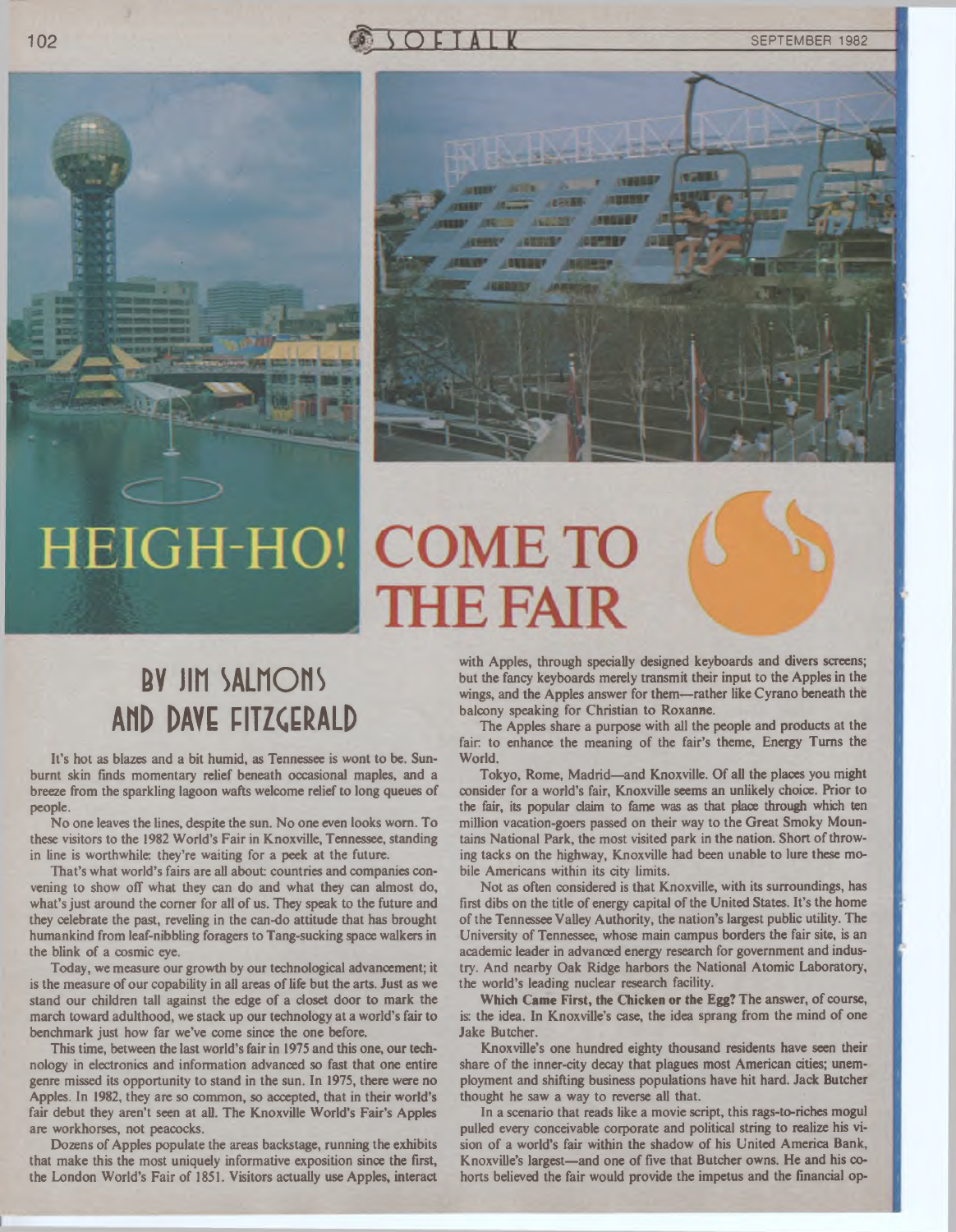



## **HEIGH-HO! COME TO THE FAIR**

## **BY JIM SALMONS AND DAVE FITZGERALD**

It's hot as blazes and a bit humid, as Tennessee is wont to be. Sunburnt skin finds momentary relief beneath occasional maples, and a breeze from the sparkling lagoon wafts welcome relief to long queues of people.

No one leaves the lines, despite the sun. No one even looks worn. To these visitors to the 1982 World's Fair in Knoxville, Tennessee, standing in line is worthwhile; they're waiting for a peek at the future.

That's what world's fairs are all about; countries and companies convening to show off what they can do and what they can almost do, what's just around the comer for all of us. They speak to the future and they celebrate the past, reveling in the can-do attitude that has brought humankind from leaf-nibbling foragers to Tang-sucking space walkers in the blink of a cosmic eye.

Today, we measure our growth by our technological advancement; it is the measure of our copability in all areas of life but the arts. Just as we stand our children tall against the edge of a closet door to mark the march toward adulthood, we stack up our technology at a world's fair to benchmark just how far we've come since the one before.

This time, between the last world's fair in 1975 and this one, our technology in electronics and information advanced so fast that one entire genre missed its opportunity to stand in the sun. In 1975, there were no Apples. In 1982, they are so common, so accepted, that in their world's fair debut they aren't seen at all. The Knoxville World's Fair's Apples are workhorses, not peacocks.

Dozens of Apples populate the areas backstage, running the exhibits that make this the most uniquely informative exposition since the first, the London World's Fair of 1851. Visitors actually use Apples, interact

with Apples, through specially designed keyboards and divers screens; but the fancy keyboards merely transmit their input to the Apples in the wings, and the Apples answer for them—rather like Cyrano beneath the balcony speaking for Christian to Roxanne.

The Apples share a purpose with all the people and products at the fair, to enhance the meaning of the fair's theme, Energy Turns the World.

Tokyo, Rome, Madrid—and Knoxville. Of all the places you might consider for a world's fair, Knoxville seems an unlikely choice. Prior to the fair, its popular claim to fame was as that place through which ten million vacation-goers passed on their way to the Great Smoky Mountains National Park, the most visited park in the nation. Short of throwing tacks on the highway, Knoxville had been unable to lure these mobile Americans within its city limits.

Not as often considered is that Knoxville, with its surroundings, has first dibs on the title of energy capital of the United States. It's the home of the Tennessee Valley Authority, the nation's largest public utility. The University of Tennessee, whose main campus borders the fair site, is an academic leader in advanced energy research for government and industry. And nearby Oak Ridge harbors the National Atomic Laboratory, the world's leading nuclear research facility.

**Which Came First, the Chicken or the Egg?** The answer, of course, is; the idea. In Knoxville's case, the idea sprang from the mind of one Jake Butcher.

Knoxville's one hundred eighty thousand residents have seen their share of the inner-city decay that plagues most American cities; unemployment and shifting business populations have hit hard. Jack Butcher thought he saw a way to reverse all that.

In a scenario that reads like a movie script, this rags-to-riches mogul pulled every conceivable corporate and political string to realize his vision of a world's fair within the shadow of his United America Bank, Knoxville's largest—and one of five that Butcher owns. He and his cohorts believed the fair would provide the impetus and the financial op-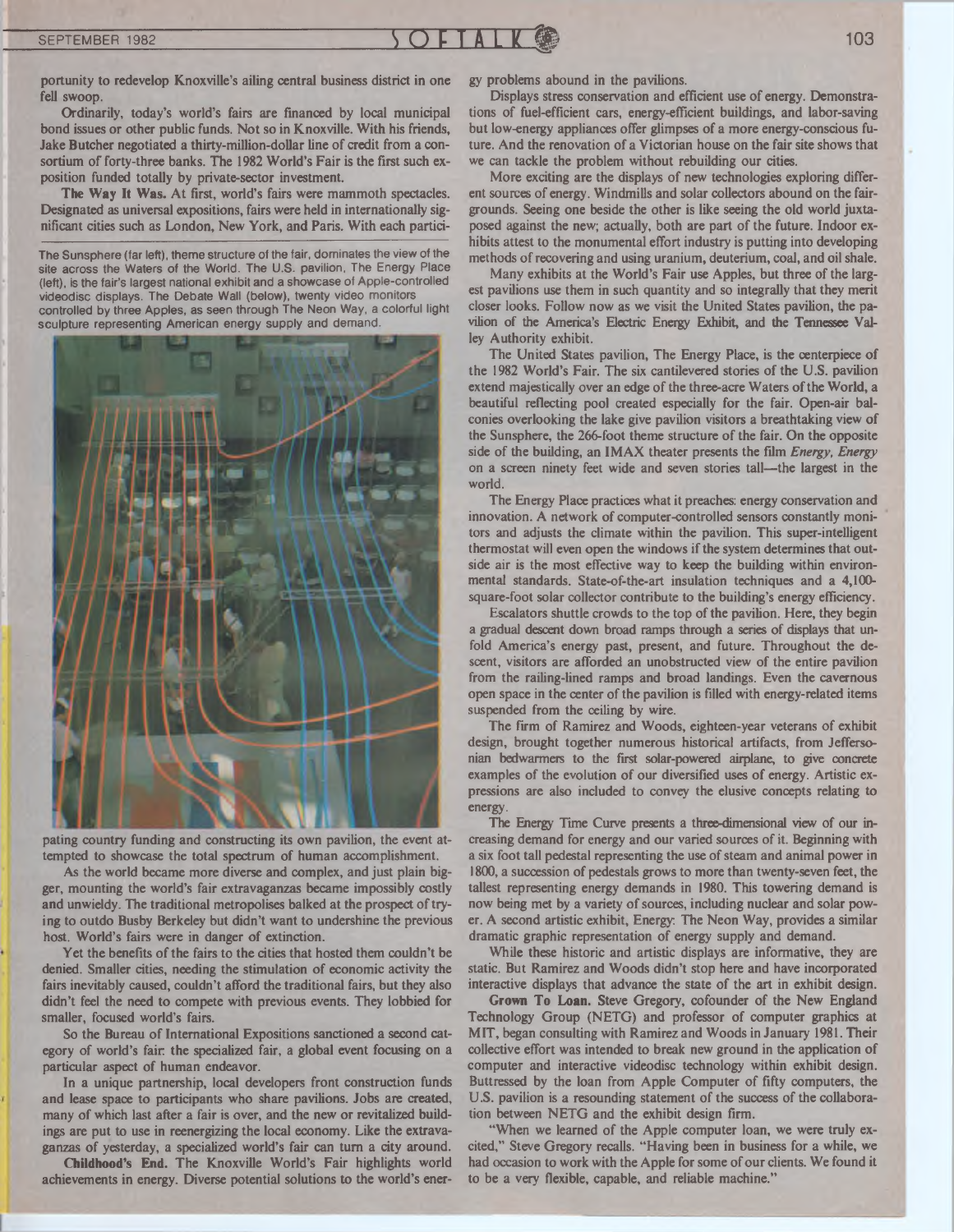portunity to redevelop Knoxville's ailing central business district in one fell swoop.

Ordinarily, today's world's fairs are financed by local municipal bond issues or other public funds. Not so in Knoxville. With his friends, Jake Butcher negotiated a thirty-million-dollar line of credit from a consortium of forty-three banks. The 1982 World's Fair is the first such exposition funded totally by private-sector investment.

**The Way It Was.** At first, world's fairs were mammoth spectacles. Designated as universal expositions, fairs were held in internationally significant cities such as London, New York, and Paris. With each partici-

The Sunsphere (far left), theme structure of the fair, dominates the view of the site across the Waters of the World. The U.S. pavilion, The Energy Place (left), is the fair's largest national exhibit and a showcase of Apple-controlled videodisc displays. The Debate Wall (below), twenty video monitors controlled by three Apples, as seen through The Neon Way, a colorful light sculpture representing American energy supply and demand.



pating country funding and constructing its own pavilion, the event attempted to showcase the total spectrum of human accomplishment.

As the world became more diverse and complex, and just plain bigger, mounting the world's fair extravaganzas became impossibly costly and unwieldy. The traditional metropolises balked at the prospect of trying to outdo Busby Berkeley but didn't want to undershine the previous host. World's fairs were in danger of extinction.

Yet the benefits of the fairs to the cities that hosted them couldn't be denied. Smaller cities, needing the stimulation of economic activity the fairs inevitably caused, couldn't afford the traditional fairs, but they also didn't feel the need to compete with previous events. They lobbied for smaller, focused world's fairs.

So the Bureau of International Expositions sanctioned a second category of world's fair. the specialized fair, a global event focusing on a particular aspect of human endeavor.

In a unique partnership, local developers front construction funds and lease space to participants who share pavilions. Jobs are created, many of which last after a fair is over, and the new or revitalized buildings are put to use in reenergizing the local economy. Like the extravaganzas of yesterday, a specialized world's fair can turn a city around.

**Childhood's End.** The Knoxville World's Fair highlights world achievements in energy. Diverse potential solutions to the world's energy problems abound in the pavilions.

Displays stress conservation and efficient use of energy. Demonstrations of fuel-efficient cars, energy-efficient buildings, and labor-saving but low-energy appliances offer glimpses of a more energy-conscious future. And the renovation of a Victorian house on the fair site shows that we can tackle the problem without rebuilding our cities.

More exciting are the displays of new technologies exploring different sources of energy. Windmills and solar collectors abound on the fairgrounds. Seeing one beside the other is like seeing the old world juxtaposed against the new; actually, both are part of the future. Indoor exhibits attest to the monumental effort industry is putting into developing methods of recovering and using uranium, deuterium, coal, and oil shale.

Many exhibits at the World's Fair use Apples, but three of the largest pavilions use them in such quantity and so integrally that they merit closer looks. Follow now as we visit the United States pavilion, the pavilion of the America's Electric Energy Exhibit, and the Tennessee Valley Authority exhibit.

The United States pavilion, The Energy Place, is the centerpiece of the 1982 World's Fair. The six cantilevered stories of the U.S. pavilion extend majestically over an edge of the three-acre Waters of the World, a beautiful reflecting pool created especially for the fair. Open-air balconies overlooking the lake give pavilion visitors a breathtaking view of the Sunsphere, the 266-foot theme structure of the fair. On the opposite side of the building, an IMAX theater presents the film *Energy*, *Energy* on a screen ninety feet wide and seven stories tall—the largest in the world.

The Energy Place practices what it preaches: energy conservation and innovation. A network of computer-controlled sensors constantly monitors and adjusts the climate within the pavilion. This super-intelligent thermostat will even open the windows if the system determines that outside air is the most effective way to keep the building within environmental standards. State-of-the-art insulation techniques and a 4,100 square-foot solar collector contribute to the building's energy efficiency.

Escalators shuttle crowds to the top of the pavilion. Here, they begin a gradual descent down broad ramps through a series of displays that unfold America's energy past, present, and future. Throughout the descent, visitors are afforded an unobstructed view of the entire pavilion from the railing-lined ramps and broad landings. Even the cavernous open space in the center of the pavilion is filled with energy-related items suspended from the ceiling by wire.

The firm of Ramirez and Woods, eighteen-year veterans of exhibit design, brought together numerous historical artifacts, from Jeffersonian bedwarmers to the first solar-powered airplane, to give concrete examples of the evolution of our diversified uses of energy. Artistic expressions are also included to convey the elusive concepts relating to energy.

The Energy Time Curve presents a three-dimensional view of our increasing demand for energy and our varied sources of it. Beginning with a six foot tall pedestal representing the use of steam and animal power in 1800, a succession of pedestals grows to more than twenty-seven feet, the tallest representing energy demands in 1980. This towering demand is now being met by a variety of sources, including nuclear and solar power. A second artistic exhibit, Energy: The Neon Way, provides a similar dramatic graphic representation of energy supply and demand.

While these historic and artistic displays are informative, they are static. But Ramirez and Woods didn't stop here and have incorporated interactive displays that advance the state of the art in exhibit design.

**Grown To Loan.** Steve Gregory, cofounder of the New England Technology Group (NETG) and professor of computer graphics at MIT, began consulting with Ramirez and Woods in January 1981. Their collective effort was intended to break new ground in the application of computer and interactive videodisc technology within exhibit design. Buttressed by the loan from Apple Computer of fifty computers, the U.S. pavilion is a resounding statement of the success of the collaboration between NETG and the exhibit design firm.

"When we learned of the Apple computer loan, we were truly excited," Steve Gregory recalls. "Having been in business for a while, we had occasion to work with the Apple for some of our clients. We found it to be a very flexible, capable, and reliable machine."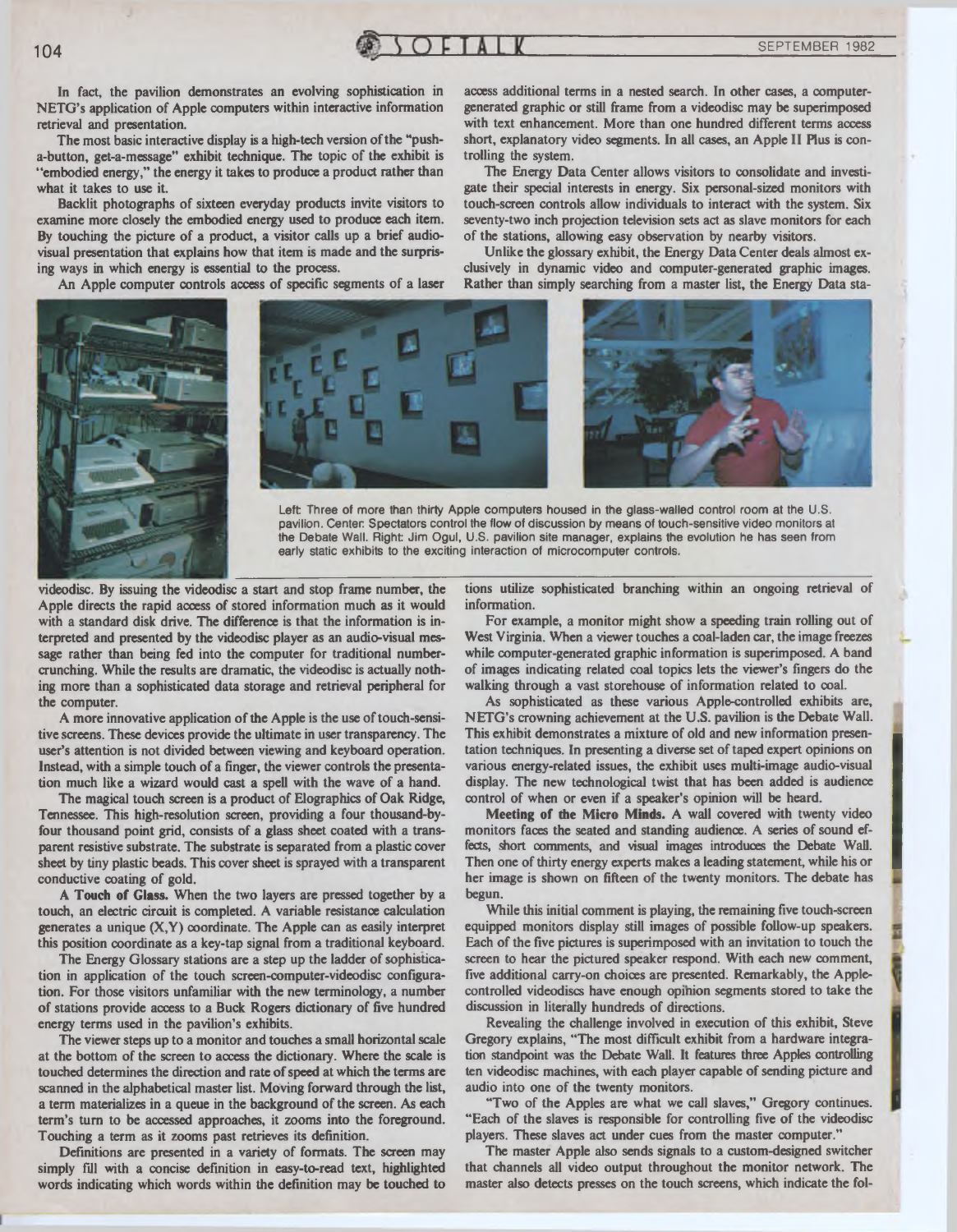In fact, the pavilion demonstrates an evolving sophistication in NETG's application of Apple computers within interactive information retrieval and presentation.

The most basic interactive display is a high-tech version of the "pusha-button, get-a-message" exhibit technique. The topic of the exhibit is "embodied energy," the energy it takes to produce a product rather than what it takes to use it.

Backlit photographs of sixteen everyday products invite visitors to examine more closely the embodied energy used to produce each item. By touching the picture of a product, a visitor calls up a brief audiovisual presentation that explains how that item is made and the surprising ways in which energy is essential to the process.

An Apple computer controls access of specific segments of a laser

access additional terms in a nested search. In other cases, a computergenerated graphic or still frame from a videodisc may be superimposed with text enhancement. More than one hundred different terms access short, explanatory video segments. In all cases, an Apple II Plus is controlling the system.

The Energy Data Center allows visitors to consolidate and investigate their special interests in energy. Six personal-sized monitors with touch-screen controls allow individuals to interact with the system. Six seventy-two inch projection television sets act as slave monitors for each of the stations, allowing easy observation by nearby visitors.

Unlike the glossary exhibit, the Energy Data Center deals almost exclusively in dynamic video and computer-generated graphic images. Rather than simply searching from a master list, the Energy Data sta-

Left Three of more than thirty Apple computers housed in the glass-walled control room at the U.S. pavilion. Center Spectators control the flow of discussion by means of touch-sensitive video monitors at the Debate Wall. Right: Jim Ogul, U.S. pavilion site manager, explains the evolution he has seen from early static exhibits to the exciting interaction of microcomputer controls.

videodisc. By issuing the videodisc a start and stop frame number, the Apple directs the rapid access of stored information much as it would with a standard disk drive. The difference is that the information is interpreted and presented by the videodisc player as an audio-visual message rather than being fed into the computer for traditional numbercrunching. While the results are dramatic, the videodisc is actually nothing more than a sophisticated data storage and retrieval peripheral for the computer.

A more innovative application of the Apple is the use of touch-sensitive screens. These devices provide the ultimate in user transparency. The user's attention is not divided between viewing and keyboard operation. Instead, with a simple touch of a finger, the viewer controls the presentation much like a wizard would cast a spell with the wave of a hand.

The magical touch screen is a product of Elographics of Oak Ridge, Tennessee. This high-resolution screen, providing a four thousand-byfour thousand point grid, consists of a glass sheet coated with a transparent resistive substrate. The substrate is separated from a plastic cover sheet by tiny plastic beads. This cover sheet is sprayed with a transparent conductive coating of gold.

A **Touch of Glass.** When the two layers are pressed together by a touch, an electric circuit is completed. A variable resistance calculation generates a unique  $(X, Y)$  coordinate. The Apple can as easily interpret this position coordinate as a key-tap signal from a traditional keyboard.

The Energy Glossary stations are a step up the ladder of sophistication in application of the touch screen-computer-videodisc configuration. For those visitors unfamiliar with the new terminology, a number of stations provide access to a Buck Rogers dictionary of five hundred energy terms used in the pavilion's exhibits.

The viewer steps up to a monitor and touches a small horizontal scale at the bottom of the screen to access the dictionary. Where the scale is touched determines the direction and rate of speed at which the terms are scanned in the alphabetical master list. Moving forward through the list, a term materializes in a queue in the background of the screen. As each term's turn to be accessed approaches, it zooms into the foreground. Touching a term as it zooms past retrieves its definition.

Definitions are presented in a variety of formats. The screen may simply fill with a concise definition in easy-to-read text, highlighted words indicating which words within the definition may be touched to tions utilize sophisticated branching within an ongoing retrieval of information.

For example, a monitor might show a speeding train rolling out of West Virginia. When a viewer touches a coal-laden car, the image freezes while computer-generated graphic information is superimposed. A band of images indicating related coal topics lets the viewer's fingers do the walking through a vast storehouse of information related to coal.

As sophisticated as these various Apple-controlled exhibits are, NETG's crowning achievement at the U.S. pavilion is the Debate Wall. This exhibit demonstrates a mixture of old and new information presentation techniques. In presenting a diverse set of taped expert opinions on various energy-related issues, the exhibit uses multi-image audio-visual display. The new technological twist that has been added is audience control of when or even if a speaker's opinion will be heard.

**Meeting of the Micro Minds.** A wall covered with twenty video monitors faces the seated and standing audience. A series of sound effects, short comments, and visual images introduces the Debate Wall. Then one of thirty energy experts makes a leading statement, while his or her image is shown on fifteen of the twenty monitors. The debate has begun.

While this initial comment is playing, the remaining five touch-screen equipped monitors display still images of possible follow-up speakers. Each of the five pictures is superimposed with an invitation to touch the screen to hear the pictured speaker respond. With each new comment, five additional carry-on choices are presented. Remarkably, the Applecontrolled videodiscs have enough opinion segments stored to take the discussion in literally hundreds of directions.

Revealing the challenge involved in execution of this exhibit, Steve Gregory explains, "The most difficult exhibit from a hardware integration standpoint was the Debate Wall. It features three Apples controlling ten videodisc machines, with each player capable of sending picture and audio into one of the twenty monitors.

"Two of the Apples are what we call slaves," Gregory continues. "Each of the slaves is responsible for controlling five of the videodisc players. These slaves act under cues from the master computer."

The master Apple also sends signals to a custom-designed switcher that channels all video output throughout the monitor network. The master also detects presses on the touch screens, which indicate the fol





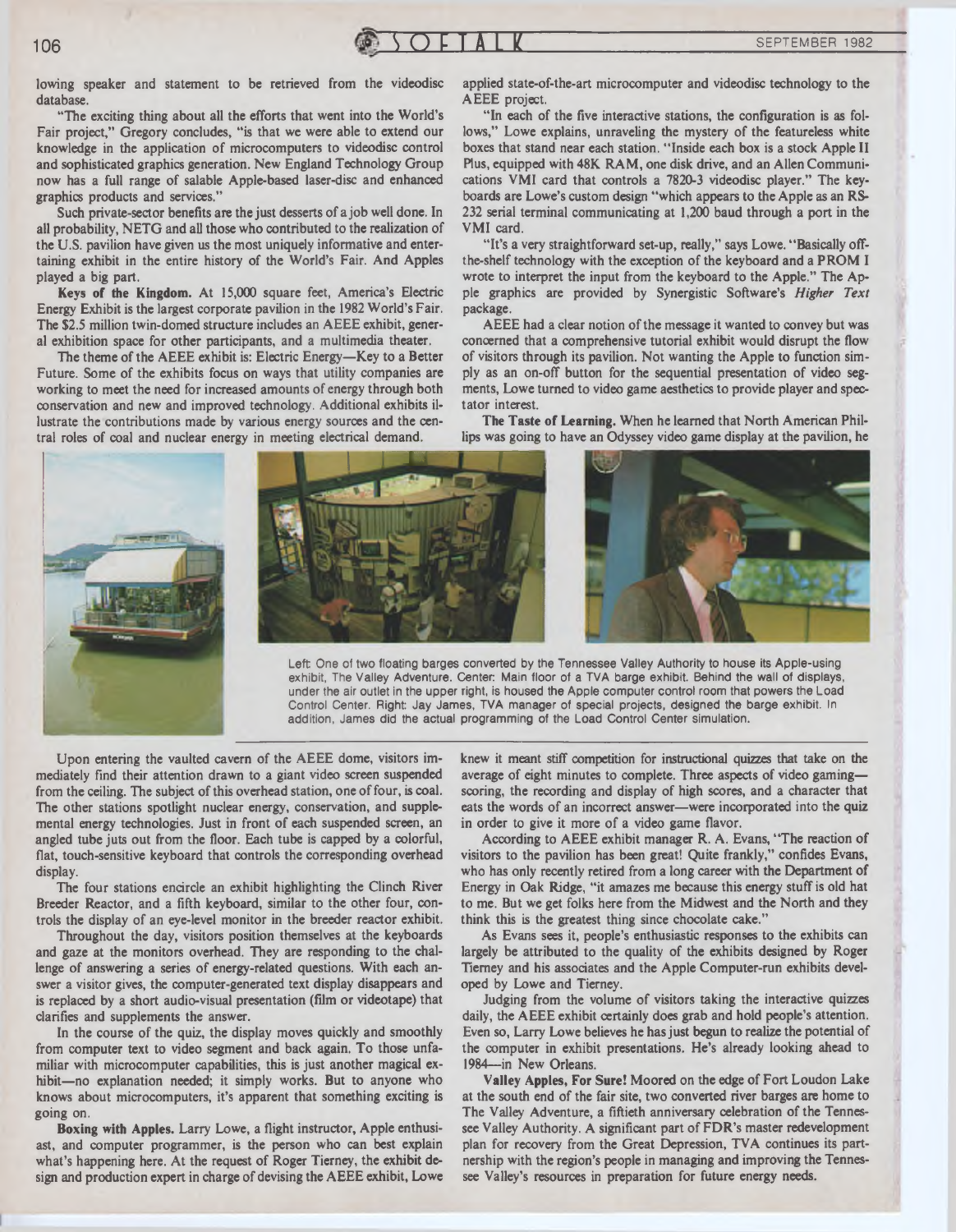lowing speaker and statement to be retrieved from the videodisc database.

"The exciting thing about all the efforts that went into the World's Fair project," Gregory concludes, "is that we were able to extend our knowledge in the application of microcomputers to videodisc control and sophisticated graphics generation. New England Technology Group now has a full range of salable Apple-based laser-disc and enhanced graphics products and services."

Such private-sector benefits are the just desserts of a job well done. In all probability, NETG and all those who contributed to the realization of the U.S. pavilion have given us the most uniquely informative and entertaining exhibit in the entire history of the World's Fair. And Apples played a big part.

**Keys of the Kingdom.** At **15,000** square feet, America's Electric Energy Exhibit is the largest corporate pavilion in the **1982** World's Fair. The **\$2.5** million twin-domed structure includes an AEEE exhibit, general exhibition space for other participants, and a multimedia theater.

The theme of the AEEE exhibit is: Electric Energy—Key to a Better Future. Some of the exhibits focus on ways that utility companies are working to meet the need for increased amounts of energy through both conservation and new and improved technology. Additional exhibits illustrate the contributions made by various energy sources and the central roles of coal and nuclear energy in meeting electrical demand.

applied state-of-the-art microcomputer and videodisc technology to the AEEE project.

"In each of the five interactive stations, the configuration is as follows," Lowe explains, unraveling the mystery of the featureless white boxes that stand near each station. " Inside each box is a stock Apple II Plus, equipped with 48K RAM, one disk drive, and an Allen Communications VMI card that controls a 7820-3 videodisc player." The keyboards are Lowe's custom design "which appears to the Apple as an RS-232 serial terminal communicating at 1,200 baud through a port in the VMI card.

"It's a very straightforward set-up, really," says Lowe. " Basically offthe-shelf technology with the exception of the keyboard and a PROM I wrote to interpret the input from the keyboard to the Apple." The Apple graphics are provided by Synergistic Software's *Higher Text* package.

AEEE had a clear notion of the message it wanted to convey but was concerned that a comprehensive tutorial exhibit would disrupt the flow of visitors through its pavilion. Not wanting the Apple to function simply as an on-off button for the sequential presentation of video segments, Lowe turned to video game aesthetics to provide player and spectator interest.

The **Taste of Learning.** When he learned that North American Phillips was going to have an Odyssey video game display at the pavilion, he



under the air outlet in the upper right, is housed the Apple computer control room that powers the Load Control Center. Right: Jay James, TVA manager of special projects, designed the barge exhibit. In addition, James did the actual programming of the Load Control Center simulation.

Upon entering the vaulted cavern of the AEEE dome, visitors immediately find their attention drawn to a giant video screen suspended from the ceiling. The subject of this overhead station, one of four, is coal. The other stations spotlight nuclear energy, conservation, and supplemental energy technologies. Just in front of each suspended screen, an angled tube juts out from the floor. Each tube is capped by a colorful, flat, touch-sensitive keyboard that controls the corresponding overhead display.

The four stations encircle an exhibit highlighting the Clinch River Breeder Reactor, and a fifth keyboard, similar to the other four, controls the display of an eye-level monitor in the breeder reactor exhibit.

Throughout the day, visitors position themselves at the keyboards and gaze at the monitors overhead. They are responding to the challenge of answering a series of energy-related questions. With each answer a visitor gives, the computer-generated text display disappears and is replaced by a short audio-visual presentation (film or videotape) that clarifies and supplements the answer.

In the course of the quiz, the display moves quickly and smoothly from computer text to video segment and back again. To those unfamiliar with microcomputer capabilities, this is just another magical exhibit—no explanation needed; it simply works. But to anyone who knows about microcomputers, it's apparent that something exciting is going on.

**Boxing with Apples.** Larry Lowe, a flight instructor, Apple enthusiast, and computer programmer, is the person who can best explain what's happening here. At the request of Roger Tierney, the exhibit design and production expert in charge of devising the AEEE exhibit, Lowe

knew it meant stiff competition for instructional quizzes that take on the average of eight minutes to complete. Three aspects of video gaming scoring, the recording and display of high scores, and a character that eats the words of an incorrect answer—were incorporated into the quiz in order to give it more of a video game flavor.

According to AEEE exhibit manager R. A. Evans, "The reaction of visitors to the pavilion has been great! Quite frankly," confides Evans, who has only recently retired from a long career with the Department of Energy in Oak Ridge, "it amazes me because this energy stuff is old hat to me. But we get folks here from the Midwest and the North and they think this is the greatest thing since chocolate cake."

As Evans sees it, people's enthusiastic responses to the exhibits can largely be attributed to the quality of the exhibits designed by Roger Tierney and his associates and the Apple Computer-run exhibits developed by Lowe and Tierney.

Judging from the volume of visitors taking the interactive quizzes daily, the AEEE exhibit certainly does grab and hold people's attention. Even so, Larry Lowe believes he has just begun to realize the potential of the computer in exhibit presentations. He's already looking ahead to 1984— in New Orleans.

**Valley Apples, For Sure!** Moored on the edge of Fort Loudon Lake at the south end of the fair site, two converted river barges are home to The Valley Adventure, a fiftieth anniversary celebration of the Tennessee Valley Authority. A significant part of FDR's master redevelopment plan for recovery from the Great Depression, TVA continues its partnership with the region's people in managing and improving the Tennessee Valley's resources in preparation for future energy needs.